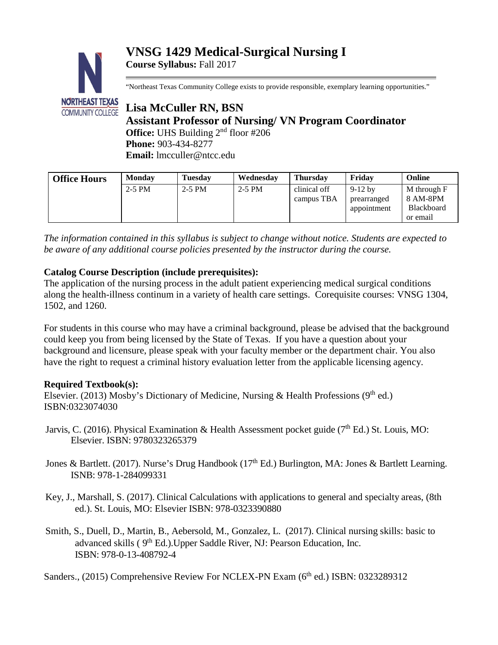## **VNSG 1429 Medical-Surgical Nursing I Course Syllabus:** Fall 2017



"Northeast Texas Community College exists to provide responsible, exemplary learning opportunities."

# **Lisa McCuller RN, BSN Assistant Professor of Nursing/ VN Program Coordinator Office:** UHS Building 2<sup>nd</sup> floor #206 **Phone:** 903-434-8277 **Email:** lmcculler@ntcc.edu

| <b>Office Hours</b> | <b>Monday</b> | <b>Tuesday</b> | Wednesday | <b>Thursday</b> | Fridav      | Online            |
|---------------------|---------------|----------------|-----------|-----------------|-------------|-------------------|
|                     | $2-5$ PM      | $2-5$ PM       | $2-5$ PM  | clinical off    | $9-12$ by   | M through F       |
|                     |               |                |           | campus TBA      | prearranged | 8 AM-8PM          |
|                     |               |                |           |                 | appointment | <b>Blackboard</b> |
|                     |               |                |           |                 |             | or email          |

*The information contained in this syllabus is subject to change without notice. Students are expected to be aware of any additional course policies presented by the instructor during the course.*

## **Catalog Course Description (include prerequisites):**

The application of the nursing process in the adult patient experiencing medical surgical conditions along the health-illness continum in a variety of health care settings. Corequisite courses: VNSG 1304, 1502, and 1260.

For students in this course who may have a criminal background, please be advised that the background could keep you from being licensed by the State of Texas. If you have a question about your background and licensure, please speak with your faculty member or the department chair. You also have the right to request a criminal history evaluation letter from the applicable licensing agency.

## **Required Textbook(s):**

Elsevier. (2013) Mosby's Dictionary of Medicine, Nursing & Health Professions (9<sup>th</sup> ed.) ISBN:0323074030

- Jarvis, C. (2016). Physical Examination & Health Assessment pocket guide ( $7<sup>th</sup>$  Ed.) St. Louis, MO: Elsevier. ISBN: 9780323265379
- Jones & Bartlett. (2017). Nurse's Drug Handbook (17<sup>th</sup> Ed.) Burlington, MA: Jones & Bartlett Learning. ISNB: 978-1-284099331
- Key, J., Marshall, S. (2017). Clinical Calculations with applications to general and specialty areas, (8th ed.). St. Louis, MO: Elsevier ISBN: 978-0323390880
- Smith, S., Duell, D., Martin, B., Aebersold, M., Gonzalez, L. (2017). Clinical nursing skills: basic to advanced skills (9<sup>th</sup> Ed.).Upper Saddle River, NJ: Pearson Education, Inc. ISBN: 978-0-13-408792-4

Sanders., (2015) Comprehensive Review For NCLEX-PN Exam (6<sup>th</sup> ed.) ISBN: 0323289312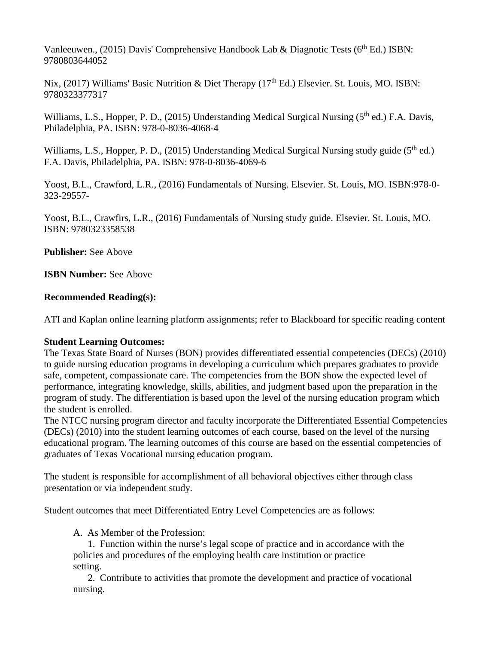Vanleeuwen., (2015) Davis' Comprehensive Handbook Lab & Diagnotic Tests ( $6<sup>th</sup> Ed$ .) ISBN: 9780803644052

Nix, (2017) Williams' Basic Nutrition & Diet Therapy (17<sup>th</sup> Ed.) Elsevier. St. Louis, MO. ISBN: 9780323377317

Williams, L.S., Hopper, P. D., (2015) Understanding Medical Surgical Nursing (5<sup>th</sup> ed.) F.A. Davis, Philadelphia, PA. ISBN: 978-0-8036-4068-4

Williams, L.S., Hopper, P. D., (2015) Understanding Medical Surgical Nursing study guide (5<sup>th</sup> ed.) F.A. Davis, Philadelphia, PA. ISBN: 978-0-8036-4069-6

Yoost, B.L., Crawford, L.R., (2016) Fundamentals of Nursing. Elsevier. St. Louis, MO. ISBN:978-0- 323-29557-

Yoost, B.L., Crawfirs, L.R., (2016) Fundamentals of Nursing study guide. Elsevier. St. Louis, MO. ISBN: 9780323358538

**Publisher:** See Above

**ISBN Number: See Above** 

#### **Recommended Reading(s):**

ATI and Kaplan online learning platform assignments; refer to Blackboard for specific reading content

#### **Student Learning Outcomes:**

The Texas State Board of Nurses (BON) provides differentiated essential competencies (DECs) (2010) to guide nursing education programs in developing a curriculum which prepares graduates to provide safe, competent, compassionate care. The competencies from the BON show the expected level of performance, integrating knowledge, skills, abilities, and judgment based upon the preparation in the program of study. The differentiation is based upon the level of the nursing education program which the student is enrolled.

The NTCC nursing program director and faculty incorporate the Differentiated Essential Competencies (DECs) (2010) into the student learning outcomes of each course, based on the level of the nursing educational program. The learning outcomes of this course are based on the essential competencies of graduates of Texas Vocational nursing education program.

The student is responsible for accomplishment of all behavioral objectives either through class presentation or via independent study.

Student outcomes that meet Differentiated Entry Level Competencies are as follows:

A. As Member of the Profession:

 1. Function within the nurse's legal scope of practice and in accordance with the policies and procedures of the employing health care institution or practice setting.

 2. Contribute to activities that promote the development and practice of vocational nursing.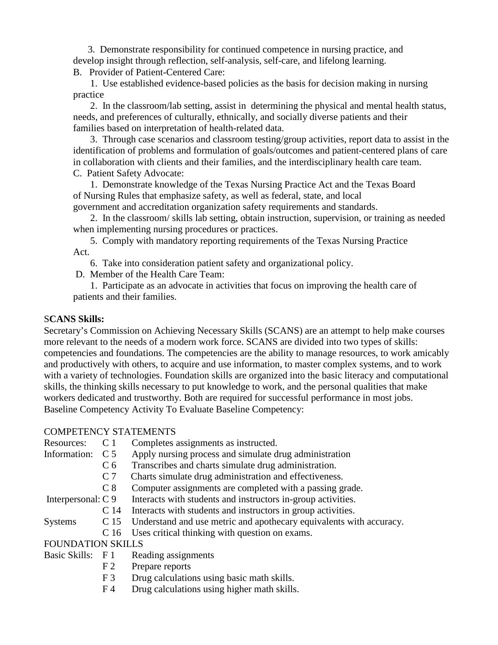3. Demonstrate responsibility for continued competence in nursing practice, and develop insight through reflection, self-analysis, self-care, and lifelong learning.

B. Provider of Patient-Centered Care:

 1. Use established evidence-based policies as the basis for decision making in nursing practice

 2. In the classroom/lab setting, assist in determining the physical and mental health status, needs, and preferences of culturally, ethnically, and socially diverse patients and their families based on interpretation of health-related data.

 3. Through case scenarios and classroom testing/group activities, report data to assist in the identification of problems and formulation of goals/outcomes and patient-centered plans of care in collaboration with clients and their families, and the interdisciplinary health care team. C. Patient Safety Advocate:

 1. Demonstrate knowledge of the Texas Nursing Practice Act and the Texas Board of Nursing Rules that emphasize safety, as well as federal, state, and local government and accreditation organization safety requirements and standards.

 2. In the classroom/ skills lab setting, obtain instruction, supervision, or training as needed when implementing nursing procedures or practices.

 5. Comply with mandatory reporting requirements of the Texas Nursing Practice Act.

6. Take into consideration patient safety and organizational policy.

D. Member of the Health Care Team:

 1. Participate as an advocate in activities that focus on improving the health care of patients and their families.

#### S**CANS Skills:**

Secretary's Commission on Achieving Necessary Skills (SCANS) are an attempt to help make courses more relevant to the needs of a modern work force. SCANS are divided into two types of skills: competencies and foundations. The competencies are the ability to manage resources, to work amicably and productively with others, to acquire and use information, to master complex systems, and to work with a variety of technologies. Foundation skills are organized into the basic literacy and computational skills, the thinking skills necessary to put knowledge to work, and the personal qualities that make workers dedicated and trustworthy. Both are required for successful performance in most jobs. Baseline Competency Activity To Evaluate Baseline Competency:

## COMPETENCY STATEMENTS

- Resources: C 1 Completes assignments as instructed.
- Information: C 5 Apply nursing process and simulate drug administration
	- C 6 Transcribes and charts simulate drug administration.
	- C 7 Charts simulate drug administration and effectiveness.
	- C 8 Computer assignments are completed with a passing grade.

Interpersonal:  $C9$  Interacts with students and instructors in-group activities.

- C 14 Interacts with students and instructors in group activities.
- Systems C 15 Understand and use metric and apothecary equivalents with accuracy.
	- C 16 Uses critical thinking with question on exams.

### FOUNDATION SKILLS

- Basic Skills: F 1 Reading assignments
	- F 2 Prepare reports
	- F 3 Drug calculations using basic math skills.
	- F 4 Drug calculations using higher math skills.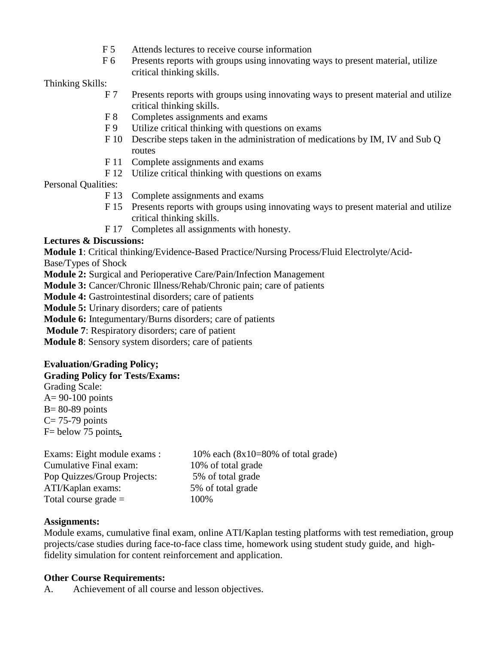- F 5 Attends lectures to receive course information
- F 6 Presents reports with groups using innovating ways to present material, utilize critical thinking skills.

Thinking Skills:

- F 7 Presents reports with groups using innovating ways to present material and utilize critical thinking skills.
- F 8 Completes assignments and exams
- F 9 Utilize critical thinking with questions on exams
- F 10 Describe steps taken in the administration of medications by IM, IV and Sub Q routes
- F 11 Complete assignments and exams
- F 12 Utilize critical thinking with questions on exams

Personal Qualities:

- F 13 Complete assignments and exams
- F 15 Presents reports with groups using innovating ways to present material and utilize critical thinking skills.
- F 17 Completes all assignments with honesty.

## **Lectures & Discussions:**

**Module 1**: Critical thinking/Evidence-Based Practice/Nursing Process/Fluid Electrolyte/Acid-

Base/Types of Shock

**Module 2:** Surgical and Perioperative Care/Pain/Infection Management

**Module 3:** Cancer/Chronic Illness/Rehab/Chronic pain; care of patients

**Module 4:** Gastrointestinal disorders; care of patients

**Module 5:** Urinary disorders; care of patients

**Module 6:** Integumentary/Burns disorders; care of patients

**Module 7**: Respiratory disorders; care of patient

**Module 8**: Sensory system disorders; care of patients

### **Evaluation/Grading Policy;**

#### **Grading Policy for Tests/Exams:**

Grading Scale:  $A= 90-100$  points  $B = 80-89$  points  $C = 75-79$  points F= below 75 points*.*

| Exams: Eight module exams : | 10%     |
|-----------------------------|---------|
| Cumulative Final exam:      | $10\%$  |
| Pop Quizzes/Group Projects: | 5% o    |
| ATI/Kaplan exams:           | $5%$ of |
| Total course grade $=$      | 100%    |

 $10\%$  each  $(8x10=80\%$  of total grade) 10% of total grade 5% of total grade 5% of total grade

## **Assignments:**

Module exams, cumulative final exam, online ATI/Kaplan testing platforms with test remediation, group projects/case studies during face-to-face class time, homework using student study guide, and highfidelity simulation for content reinforcement and application.

### **Other Course Requirements:**

A. Achievement of all course and lesson objectives.